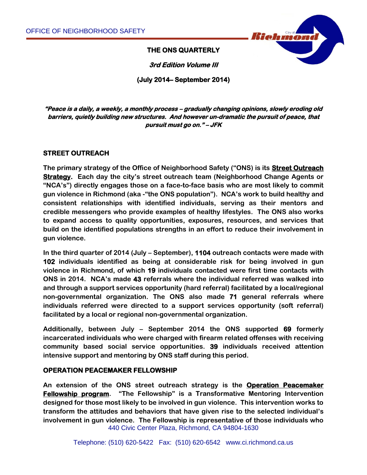

**THE ONS QUARTERLY** 

**3rd Edition Volume III** 

**(July 2014– September 2014)** 

**"Peace is a daily, a weekly, a monthly process – gradually changing opinions, slowly eroding old barriers, quietly building new structures. And however un-dramatic the pursuit of peace, that pursuit must go on." – JFK** 

## **STREET OUTREACH**

**The primary strategy of the Office of Neighborhood Safety ("ONS) is its Street Outreach Strategy. Each day the city's street outreach team (Neighborhood Change Agents or "NCA's") directly engages those on a face-to-face basis who are most likely to commit gun violence in Richmond (aka -"the ONS population"). NCA's work to build healthy and consistent relationships with identified individuals, serving as their mentors and credible messengers who provide examples of healthy lifestyles. The ONS also works to expand access to quality opportunities, exposures, resources, and services that build on the identified populations strengths in an effort to reduce their involvement in gun violence.** 

**In the third quarter of 2014 (July – September), 1104 outreach contacts were made with 102 individuals identified as being at considerable risk for being involved in gun violence in Richmond, of which 19 individuals contacted were first time contacts with ONS in 2014. NCA's made 43 referrals where the individual referred was walked into and through a support services opportunity (hard referral) facilitated by a local/regional non-governmental organization. The ONS also made 71 general referrals where individuals referred were directed to a support services opportunity (soft referral) facilitated by a local or regional non-governmental organization.**

**Additionally, between July – September 2014 the ONS supported 69 formerly incarcerated individuals who were charged with firearm related offenses with receiving community based social service opportunities. 39 individuals received attention intensive support and mentoring by ONS staff during this period.**

## **OPERATION PEACEMAKER FELLOWSHIP**

440 Civic Center Plaza, Richmond, CA 94804-1630 **An extension of the ONS street outreach strategy is the Operation Peacemaker Fellowship program. "The Fellowship" is a Transformative Mentoring Intervention designed for those most likely to be involved in gun violence. This intervention works to transform the attitudes and behaviors that have given rise to the selected individual's involvement in gun violence. The Fellowship is representative of those individuals who**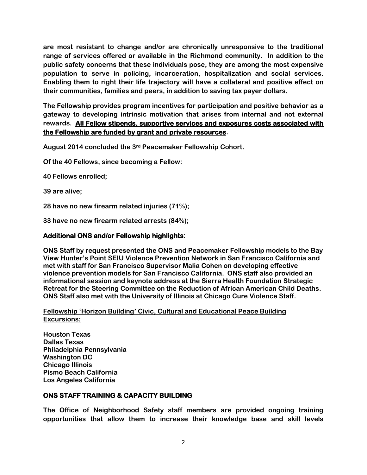**are most resistant to change and/or are chronically unresponsive to the traditional range of services offered or available in the Richmond community. In addition to the public safety concerns that these individuals pose, they are among the most expensive population to serve in policing, incarceration, hospitalization and social services. Enabling them to right their life trajectory will have a collateral and positive effect on their communities, families and peers, in addition to saving tax payer dollars.** 

**The Fellowship provides program incentives for participation and positive behavior as a gateway to developing intrinsic motivation that arises from internal and not external rewards. All Fellow stipends, supportive services and exposures costs associated with the Fellowship are funded by grant and private resources.**

**August 2014 concluded the 3rd Peacemaker Fellowship Cohort.** 

**Of the 40 Fellows, since becoming a Fellow:** 

**40 Fellows enrolled;**

**39 are alive;**

**28 have no new firearm related injuries (71%);**

**33 have no new firearm related arrests (84%);**

## **Additional ONS and/or Fellowship highlights:**

**ONS Staff by request presented the ONS and Peacemaker Fellowship models to the Bay View Hunter's Point SEIU Violence Prevention Network in San Francisco California and met with staff for San Francisco Supervisor Malia Cohen on developing effective violence prevention models for San Francisco California. ONS staff also provided an informational session and keynote address at the Sierra Health Foundation Strategic Retreat for the Steering Committee on the Reduction of African American Child Deaths. ONS Staff also met with the University of Illinois at Chicago Cure Violence Staff.**

**Fellowship 'Horizon Building' Civic, Cultural and Educational Peace Building Excursions:**

**Houston Texas Dallas Texas Philadelphia Pennsylvania Washington DC Chicago Illinois Pismo Beach California Los Angeles California**

## **ONS STAFF TRAINING & CAPACITY BUILDING**

**The Office of Neighborhood Safety staff members are provided ongoing training opportunities that allow them to increase their knowledge base and skill levels**